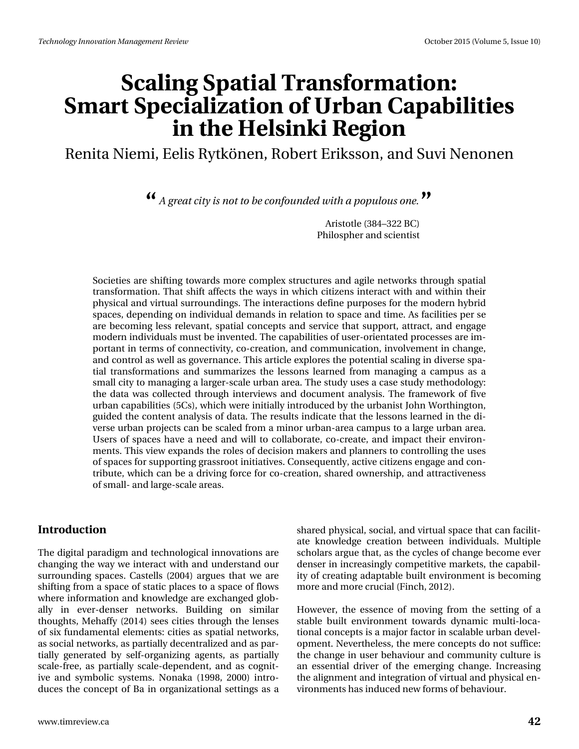# **Scaling Spatial Transformation: Smart Specialization of Urban Capabilities in the Helsinki Region**

Renita Niemi, Eelis Rytkönen, Robert Eriksson, and Suvi Nenonen

*A great city is not to be confounded with a populous one.* **" "**

Aristotle (384–322 BC) Philospher and scientist

Societies are shifting towards more complex structures and agile networks through spatial transformation. That shift affects the ways in which citizens interact with and within their physical and virtual surroundings. The interactions define purposes for the modern hybrid spaces, depending on individual demands in relation to space and time. As facilities per se are becoming less relevant, spatial concepts and service that support, attract, and engage modern individuals must be invented. The capabilities of user-orientated processes are important in terms of connectivity, co-creation, and communication, involvement in change, and control as well as governance. This article explores the potential scaling in diverse spatial transformations and summarizes the lessons learned from managing a campus as a small city to managing a larger-scale urban area. The study uses a case study methodology: the data was collected through interviews and document analysis. The framework of five urban capabilities (5Cs), which were initially introduced by the urbanist John Worthington, guided the content analysis of data. The results indicate that the lessons learned in the diverse urban projects can be scaled from a minor urban-area campus to a large urban area. Users of spaces have a need and will to collaborate, co-create, and impact their environments. This view expands the roles of decision makers and planners to controlling the uses of spaces for supporting grassroot initiatives. Consequently, active citizens engage and contribute, which can be a driving force for co-creation, shared ownership, and attractiveness of small- and large-scale areas.

#### **Introduction**

The digital paradigm and technological innovations are changing the way we interact with and understand our surrounding spaces. Castells (2004) argues that we are shifting from a space of static places to a space of flows where information and knowledge are exchanged globally in ever-denser networks. Building on similar thoughts, Mehaffy (2014) sees cities through the lenses of six fundamental elements: cities as spatial networks, as social networks, as partially decentralized and as partially generated by self-organizing agents, as partially scale-free, as partially scale-dependent, and as cognitive and symbolic systems. Nonaka (1998, 2000) introduces the concept of Ba in organizational settings as a shared physical, social, and virtual space that can facilitate knowledge creation between individuals. Multiple scholars argue that, as the cycles of change become ever denser in increasingly competitive markets, the capability of creating adaptable built environment is becoming more and more crucial (Finch, 2012).

However, the essence of moving from the setting of a stable built environment towards dynamic multi-locational concepts is a major factor in scalable urban development. Nevertheless, the mere concepts do not suffice: the change in user behaviour and community culture is an essential driver of the emerging change. Increasing the alignment and integration of virtual and physical environments has induced new forms of behaviour.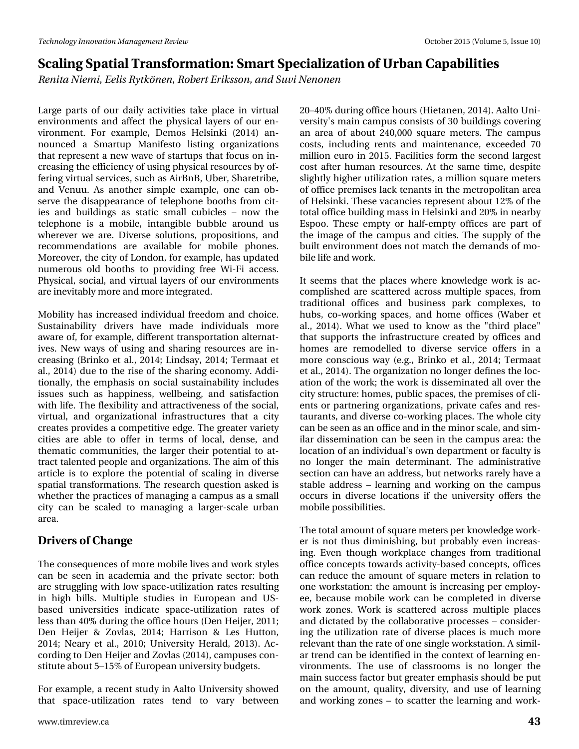*Renita Niemi, Eelis Rytkönen, Robert Eriksson, and Suvi Nenonen*

Large parts of our daily activities take place in virtual environments and affect the physical layers of our environment. For example, Demos Helsinki (2014) announced a Smartup Manifesto listing organizations that represent a new wave of startups that focus on increasing the efficiency of using physical resources by offering virtual services, such as AirBnB, Uber, Sharetribe, and Venuu. As another simple example, one can observe the disappearance of telephone booths from cities and buildings as static small cubicles – now the telephone is a mobile, intangible bubble around us wherever we are. Diverse solutions, propositions, and recommendations are available for mobile phones. Moreover, the city of London, for example, has updated numerous old booths to providing free Wi-Fi access. Physical, social, and virtual layers of our environments are inevitably more and more integrated.

Mobility has increased individual freedom and choice. Sustainability drivers have made individuals more aware of, for example, different transportation alternatives. New ways of using and sharing resources are increasing (Brinko et al., 2014; Lindsay, 2014; Termaat et al., 2014) due to the rise of the sharing economy. Additionally, the emphasis on social sustainability includes issues such as happiness, wellbeing, and satisfaction with life. The flexibility and attractiveness of the social, virtual, and organizational infrastructures that a city creates provides a competitive edge. The greater variety cities are able to offer in terms of local, dense, and thematic communities, the larger their potential to attract talented people and organizations. The aim of this article is to explore the potential of scaling in diverse spatial transformations. The research question asked is whether the practices of managing a campus as a small city can be scaled to managing a larger-scale urban area.

### **Drivers of Change**

The consequences of more mobile lives and work styles can be seen in academia and the private sector: both are struggling with low space-utilization rates resulting in high bills. Multiple studies in European and USbased universities indicate space-utilization rates of less than 40% during the office hours (Den Heijer, 2011; Den Heijer & Zovlas, 2014; Harrison & Les Hutton, 2014; Neary et al., 2010; University Herald, 2013). According to Den Heijer and Zovlas (2014), campuses constitute about 5–15% of European university budgets.

For example, a recent study in Aalto University showed that space-utilization rates tend to vary between 20–40% during office hours (Hietanen, 2014). Aalto University's main campus consists of 30 buildings covering an area of about 240,000 square meters. The campus costs, including rents and maintenance, exceeded 70 million euro in 2015. Facilities form the second largest cost after human resources. At the same time, despite slightly higher utilization rates, a million square meters of office premises lack tenants in the metropolitan area of Helsinki. These vacancies represent about 12% of the total office building mass in Helsinki and 20% in nearby Espoo. These empty or half-empty offices are part of the image of the campus and cities. The supply of the built environment does not match the demands of mobile life and work.

It seems that the places where knowledge work is accomplished are scattered across multiple spaces, from traditional offices and business park complexes, to hubs, co-working spaces, and home offices (Waber et al., 2014). What we used to know as the "third place" that supports the infrastructure created by offices and homes are remodelled to diverse service offers in a more conscious way (e.g., Brinko et al., 2014; Termaat et al., 2014). The organization no longer defines the location of the work; the work is disseminated all over the city structure: homes, public spaces, the premises of clients or partnering organizations, private cafes and restaurants, and diverse co-working places. The whole city can be seen as an office and in the minor scale, and similar dissemination can be seen in the campus area: the location of an individual's own department or faculty is no longer the main determinant. The administrative section can have an address, but networks rarely have a stable address – learning and working on the campus occurs in diverse locations if the university offers the mobile possibilities.

The total amount of square meters per knowledge worker is not thus diminishing, but probably even increasing. Even though workplace changes from traditional office concepts towards activity-based concepts, offices can reduce the amount of square meters in relation to one workstation: the amount is increasing per employee, because mobile work can be completed in diverse work zones. Work is scattered across multiple places and dictated by the collaborative processes – considering the utilization rate of diverse places is much more relevant than the rate of one single workstation. A similar trend can be identified in the context of learning environments. The use of classrooms is no longer the main success factor but greater emphasis should be put on the amount, quality, diversity, and use of learning and working zones – to scatter the learning and work-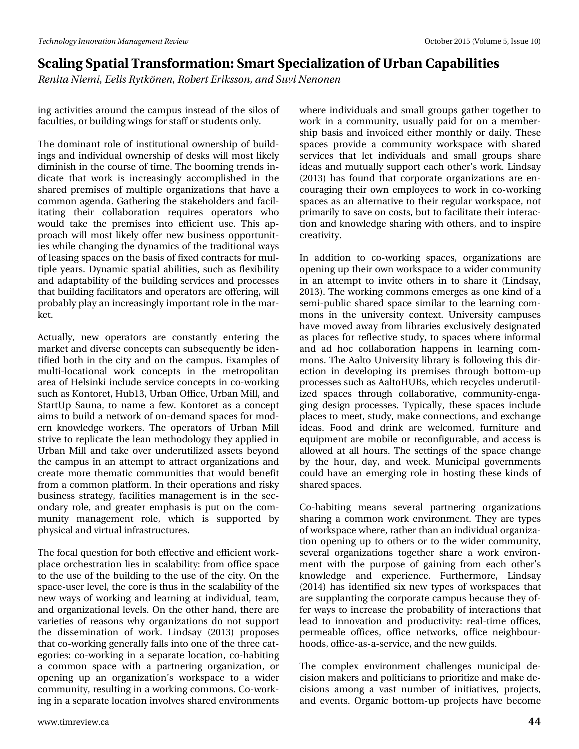*Renita Niemi, Eelis Rytkönen, Robert Eriksson, and Suvi Nenonen*

ing activities around the campus instead of the silos of faculties, or building wings for staff or students only.

The dominant role of institutional ownership of buildings and individual ownership of desks will most likely diminish in the course of time. The booming trends indicate that work is increasingly accomplished in the shared premises of multiple organizations that have a common agenda. Gathering the stakeholders and facilitating their collaboration requires operators who would take the premises into efficient use. This approach will most likely offer new business opportunities while changing the dynamics of the traditional ways of leasing spaces on the basis of fixed contracts for multiple years. Dynamic spatial abilities, such as flexibility and adaptability of the building services and processes that building facilitators and operators are offering, will probably play an increasingly important role in the market.

Actually, new operators are constantly entering the market and diverse concepts can subsequently be identified both in the city and on the campus. Examples of multi-locational work concepts in the metropolitan area of Helsinki include service concepts in co-working such as Kontoret, Hub13, Urban Office, Urban Mill, and StartUp Sauna, to name a few. Kontoret as a concept aims to build a network of on-demand spaces for modern knowledge workers. The operators of Urban Mill strive to replicate the lean methodology they applied in Urban Mill and take over underutilized assets beyond the campus in an attempt to attract organizations and create more thematic communities that would benefit from a common platform. In their operations and risky business strategy, facilities management is in the secondary role, and greater emphasis is put on the community management role, which is supported by physical and virtual infrastructures.

The focal question for both effective and efficient workplace orchestration lies in scalability: from office space to the use of the building to the use of the city. On the space-user level, the core is thus in the scalability of the new ways of working and learning at individual, team, and organizational levels. On the other hand, there are varieties of reasons why organizations do not support the dissemination of work. Lindsay (2013) proposes that co-working generally falls into one of the three categories: co-working in a separate location, co-habiting a common space with a partnering organization, or opening up an organization's workspace to a wider community, resulting in a working commons. Co-working in a separate location involves shared environments

where individuals and small groups gather together to work in a community, usually paid for on a membership basis and invoiced either monthly or daily. These spaces provide a community workspace with shared services that let individuals and small groups share ideas and mutually support each other's work. Lindsay (2013) has found that corporate organizations are encouraging their own employees to work in co-working spaces as an alternative to their regular workspace, not primarily to save on costs, but to facilitate their interaction and knowledge sharing with others, and to inspire creativity.

In addition to co-working spaces, organizations are opening up their own workspace to a wider community in an attempt to invite others in to share it (Lindsay, 2013). The working commons emerges as one kind of a semi-public shared space similar to the learning commons in the university context. University campuses have moved away from libraries exclusively designated as places for reflective study, to spaces where informal and ad hoc collaboration happens in learning commons. The Aalto University library is following this direction in developing its premises through bottom-up processes such as AaltoHUBs, which recycles underutilized spaces through collaborative, community-engaging design processes. Typically, these spaces include places to meet, study, make connections, and exchange ideas. Food and drink are welcomed, furniture and equipment are mobile or reconfigurable, and access is allowed at all hours. The settings of the space change by the hour, day, and week. Municipal governments could have an emerging role in hosting these kinds of shared spaces.

Co-habiting means several partnering organizations sharing a common work environment. They are types of workspace where, rather than an individual organization opening up to others or to the wider community, several organizations together share a work environment with the purpose of gaining from each other's knowledge and experience. Furthermore, Lindsay (2014) has identified six new types of workspaces that are supplanting the corporate campus because they offer ways to increase the probability of interactions that lead to innovation and productivity: real-time offices, permeable offices, office networks, office neighbourhoods, office-as-a-service, and the new guilds.

The complex environment challenges municipal decision makers and politicians to prioritize and make decisions among a vast number of initiatives, projects, and events. Organic bottom-up projects have become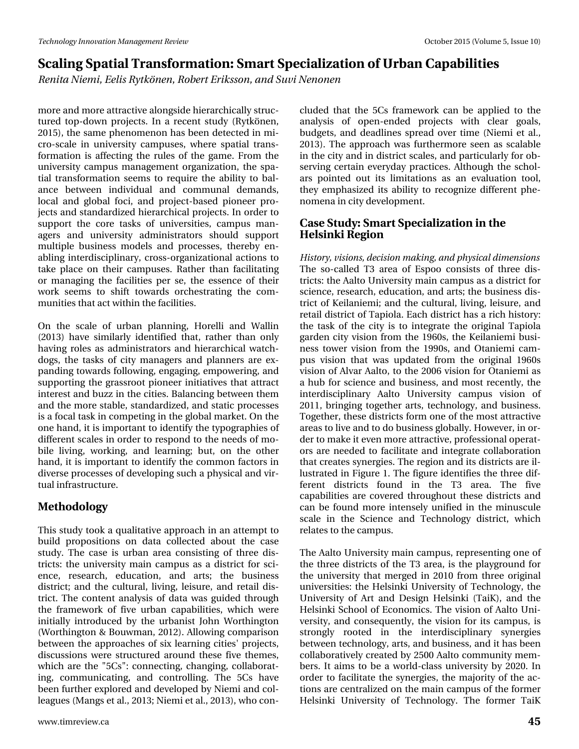*Renita Niemi, Eelis Rytkönen, Robert Eriksson, and Suvi Nenonen*

more and more attractive alongside hierarchically structured top-down projects. In a recent study (Rytkönen, 2015), the same phenomenon has been detected in micro-scale in university campuses, where spatial transformation is affecting the rules of the game. From the university campus management organization, the spatial transformation seems to require the ability to balance between individual and communal demands, local and global foci, and project-based pioneer projects and standardized hierarchical projects. In order to support the core tasks of universities, campus managers and university administrators should support multiple business models and processes, thereby enabling interdisciplinary, cross-organizational actions to take place on their campuses. Rather than facilitating or managing the facilities per se, the essence of their work seems to shift towards orchestrating the communities that act within the facilities.

On the scale of urban planning, Horelli and Wallin (2013) have similarly identified that, rather than only having roles as administrators and hierarchical watchdogs, the tasks of city managers and planners are expanding towards following, engaging, empowering, and supporting the grassroot pioneer initiatives that attract interest and buzz in the cities. Balancing between them and the more stable, standardized, and static processes is a focal task in competing in the global market. On the one hand, it is important to identify the typographies of different scales in order to respond to the needs of mobile living, working, and learning; but, on the other hand, it is important to identify the common factors in diverse processes of developing such a physical and virtual infrastructure.

### **Methodology**

This study took a qualitative approach in an attempt to build propositions on data collected about the case study. The case is urban area consisting of three districts: the university main campus as a district for science, research, education, and arts; the business district; and the cultural, living, leisure, and retail district. The content analysis of data was guided through the framework of five urban capabilities, which were initially introduced by the urbanist John Worthington (Worthington & Bouwman, 2012). Allowing comparison between the approaches of six learning cities' projects, discussions were structured around these five themes, which are the "5Cs": connecting, changing, collaborating, communicating, and controlling. The 5Cs have been further explored and developed by Niemi and colleagues (Mangs et al., 2013; Niemi et al., 2013), who con-

cluded that the 5Cs framework can be applied to the analysis of open-ended projects with clear goals, budgets, and deadlines spread over time (Niemi et al., 2013). The approach was furthermore seen as scalable in the city and in district scales, and particularly for observing certain everyday practices. Although the scholars pointed out its limitations as an evaluation tool, they emphasized its ability to recognize different phenomena in city development.

### **Case Study: Smart Specialization in the Helsinki Region**

*History, visions, decision making, and physical dimensions* The so-called T3 area of Espoo consists of three districts: the Aalto University main campus as a district for science, research, education, and arts; the business district of Keilaniemi; and the cultural, living, leisure, and retail district of Tapiola. Each district has a rich history: the task of the city is to integrate the original Tapiola garden city vision from the 1960s, the Keilaniemi business tower vision from the 1990s, and Otaniemi campus vision that was updated from the original 1960s vision of Alvar Aalto, to the 2006 vision for Otaniemi as a hub for science and business, and most recently, the interdisciplinary Aalto University campus vision of 2011, bringing together arts, technology, and business. Together, these districts form one of the most attractive areas to live and to do business globally. However, in order to make it even more attractive, professional operators are needed to facilitate and integrate collaboration that creates synergies. The region and its districts are illustrated in Figure 1. The figure identifies the three different districts found in the T3 area. The five capabilities are covered throughout these districts and can be found more intensely unified in the minuscule scale in the Science and Technology district, which relates to the campus.

The Aalto University main campus, representing one of the three districts of the T3 area, is the playground for the university that merged in 2010 from three original universities: the Helsinki University of Technology, the University of Art and Design Helsinki (TaiK), and the Helsinki School of Economics. The vision of Aalto University, and consequently, the vision for its campus, is strongly rooted in the interdisciplinary synergies between technology, arts, and business, and it has been collaboratively created by 2500 Aalto community members. It aims to be a world-class university by 2020. In order to facilitate the synergies, the majority of the actions are centralized on the main campus of the former Helsinki University of Technology. The former TaiK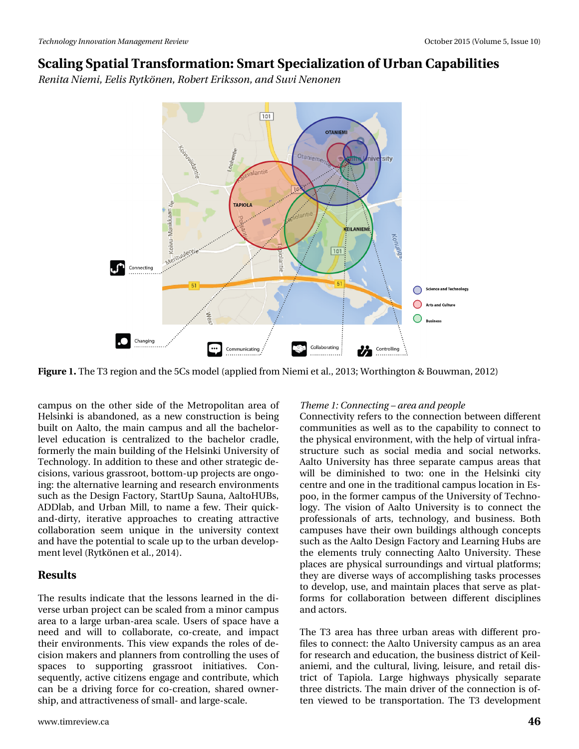*Renita Niemi, Eelis Rytkönen, Robert Eriksson, and Suvi Nenonen*



**Figure 1.** The T3 region and the 5Cs model (applied from Niemi et al., 2013; Worthington & Bouwman, 2012)

campus on the other side of the Metropolitan area of Helsinki is abandoned, as a new construction is being built on Aalto, the main campus and all the bachelorlevel education is centralized to the bachelor cradle, formerly the main building of the Helsinki University of Technology. In addition to these and other strategic decisions, various grassroot, bottom-up projects are ongoing: the alternative learning and research environments such as the Design Factory, StartUp Sauna, AaltoHUBs, ADDlab, and Urban Mill, to name a few. Their quickand-dirty, iterative approaches to creating attractive collaboration seem unique in the university context and have the potential to scale up to the urban development level (Rytkönen et al., 2014).

### **Results**

The results indicate that the lessons learned in the diverse urban project can be scaled from a minor campus area to a large urban-area scale. Users of space have a need and will to collaborate, co-create, and impact their environments. This view expands the roles of decision makers and planners from controlling the uses of spaces to supporting grassroot initiatives. Consequently, active citizens engage and contribute, which can be a driving force for co-creation, shared ownership, and attractiveness of small- and large-scale.

### www.timreview.ca **46**

### *Theme 1: Connecting – area and people*

Connectivity refers to the connection between different communities as well as to the capability to connect to the physical environment, with the help of virtual infrastructure such as social media and social networks. Aalto University has three separate campus areas that will be diminished to two: one in the Helsinki city centre and one in the traditional campus location in Espoo, in the former campus of the University of Technology. The vision of Aalto University is to connect the professionals of arts, technology, and business. Both campuses have their own buildings although concepts such as the Aalto Design Factory and Learning Hubs are the elements truly connecting Aalto University. These places are physical surroundings and virtual platforms; they are diverse ways of accomplishing tasks processes to develop, use, and maintain places that serve as platforms for collaboration between different disciplines and actors.

The T3 area has three urban areas with different profiles to connect: the Aalto University campus as an area for research and education, the business district of Keilaniemi, and the cultural, living, leisure, and retail district of Tapiola. Large highways physically separate three districts. The main driver of the connection is often viewed to be transportation. The T3 development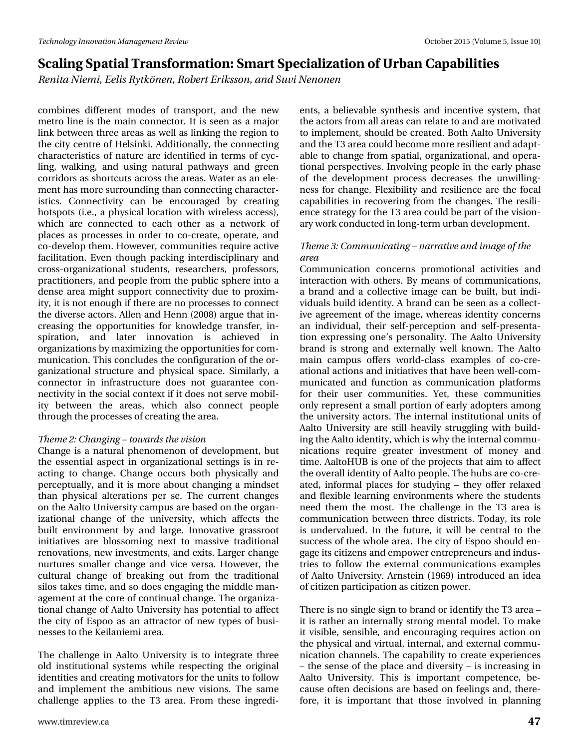*Renita Niemi, Eelis Rytkönen, Robert Eriksson, and Suvi Nenonen*

combines different modes of transport, and the new metro line is the main connector. It is seen as a major link between three areas as well as linking the region to the city centre of Helsinki. Additionally, the connecting characteristics of nature are identified in terms of cycling, walking, and using natural pathways and green corridors as shortcuts across the areas. Water as an element has more surrounding than connecting characteristics. Connectivity can be encouraged by creating hotspots (i.e., a physical location with wireless access), which are connected to each other as a network of places as processes in order to co-create, operate, and co-develop them. However, communities require active facilitation. Even though packing interdisciplinary and cross-organizational students, researchers, professors, practitioners, and people from the public sphere into a dense area might support connectivity due to proximity, it is not enough if there are no processes to connect the diverse actors. Allen and Henn (2008) argue that increasing the opportunities for knowledge transfer, inspiration, and later innovation is achieved in organizations by maximizing the opportunities for communication. This concludes the configuration of the organizational structure and physical space. Similarly, a connector in infrastructure does not guarantee connectivity in the social context if it does not serve mobility between the areas, which also connect people through the processes of creating the area.

#### *Theme 2: Changing – towards the vision*

Change is a natural phenomenon of development, but the essential aspect in organizational settings is in reacting to change. Change occurs both physically and perceptually, and it is more about changing a mindset than physical alterations per se. The current changes on the Aalto University campus are based on the organizational change of the university, which affects the built environment by and large. Innovative grassroot initiatives are blossoming next to massive traditional renovations, new investments, and exits. Larger change nurtures smaller change and vice versa. However, the cultural change of breaking out from the traditional silos takes time, and so does engaging the middle management at the core of continual change. The organizational change of Aalto University has potential to affect the city of Espoo as an attractor of new types of businesses to the Keilaniemi area.

The challenge in Aalto University is to integrate three old institutional systems while respecting the original identities and creating motivators for the units to follow and implement the ambitious new visions. The same challenge applies to the T3 area. From these ingredi-

ents, a believable synthesis and incentive system, that the actors from all areas can relate to and are motivated to implement, should be created. Both Aalto University and the T3 area could become more resilient and adaptable to change from spatial, organizational, and operational perspectives. Involving people in the early phase of the development process decreases the unwillingness for change. Flexibility and resilience are the focal capabilities in recovering from the changes. The resilience strategy for the T3 area could be part of the visionary work conducted in long-term urban development.

#### *Theme 3: Communicating – narrative and image of the area*

Communication concerns promotional activities and interaction with others. By means of communications, a brand and a collective image can be built, but individuals build identity. A brand can be seen as a collective agreement of the image, whereas identity concerns an individual, their self-perception and self-presentation expressing one's personality. The Aalto University brand is strong and externally well known. The Aalto main campus offers world-class examples of co-creational actions and initiatives that have been well-communicated and function as communication platforms for their user communities. Yet, these communities only represent a small portion of early adopters among the university actors. The internal institutional units of Aalto University are still heavily struggling with building the Aalto identity, which is why the internal communications require greater investment of money and time. AaltoHUB is one of the projects that aim to affect the overall identity of Aalto people. The hubs are co-created, informal places for studying – they offer relaxed and flexible learning environments where the students need them the most. The challenge in the T3 area is communication between three districts. Today, its role is undervalued. In the future, it will be central to the success of the whole area. The city of Espoo should engage its citizens and empower entrepreneurs and industries to follow the external communications examples of Aalto University. Arnstein (1969) introduced an idea of citizen participation as citizen power.

There is no single sign to brand or identify the T3 area – it is rather an internally strong mental model. To make it visible, sensible, and encouraging requires action on the physical and virtual, internal, and external communication channels. The capability to create experiences – the sense of the place and diversity – is increasing in Aalto University. This is important competence, because often decisions are based on feelings and, therefore, it is important that those involved in planning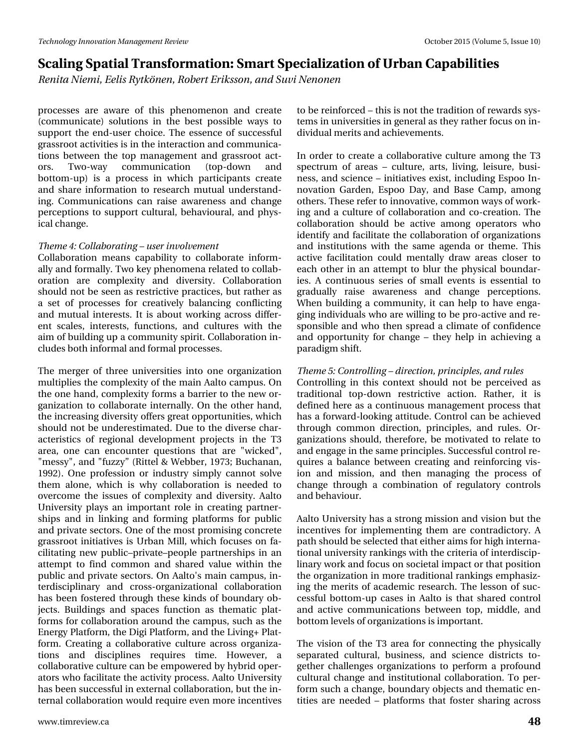*Renita Niemi, Eelis Rytkönen, Robert Eriksson, and Suvi Nenonen*

processes are aware of this phenomenon and create (communicate) solutions in the best possible ways to support the end-user choice. The essence of successful grassroot activities is in the interaction and communications between the top management and grassroot actors. Two-way communication (top-down and bottom-up) is a process in which participants create and share information to research mutual understanding. Communications can raise awareness and change perceptions to support cultural, behavioural, and physical change.

#### *Theme 4: Collaborating – user involvement*

Collaboration means capability to collaborate informally and formally. Two key phenomena related to collaboration are complexity and diversity. Collaboration should not be seen as restrictive practices, but rather as a set of processes for creatively balancing conflicting and mutual interests. It is about working across different scales, interests, functions, and cultures with the aim of building up a community spirit. Collaboration includes both informal and formal processes.

The merger of three universities into one organization multiplies the complexity of the main Aalto campus. On the one hand, complexity forms a barrier to the new organization to collaborate internally. On the other hand, the increasing diversity offers great opportunities, which should not be underestimated. Due to the diverse characteristics of regional development projects in the T3 area, one can encounter questions that are "wicked", "messy", and "fuzzy" (Rittel & Webber, 1973; Buchanan, 1992). One profession or industry simply cannot solve them alone, which is why collaboration is needed to overcome the issues of complexity and diversity. Aalto University plays an important role in creating partnerships and in linking and forming platforms for public and private sectors. One of the most promising concrete grassroot initiatives is Urban Mill, which focuses on facilitating new public–private–people partnerships in an attempt to find common and shared value within the public and private sectors. On Aalto's main campus, interdisciplinary and cross-organizational collaboration has been fostered through these kinds of boundary objects. Buildings and spaces function as thematic platforms for collaboration around the campus, such as the Energy Platform, the Digi Platform, and the Living+ Platform. Creating a collaborative culture across organizations and disciplines requires time. However, a collaborative culture can be empowered by hybrid operators who facilitate the activity process. Aalto University has been successful in external collaboration, but the internal collaboration would require even more incentives

to be reinforced – this is not the tradition of rewards systems in universities in general as they rather focus on individual merits and achievements.

In order to create a collaborative culture among the T3 spectrum of areas – culture, arts, living, leisure, business, and science – initiatives exist, including Espoo Innovation Garden, Espoo Day, and Base Camp, among others. These refer to innovative, common ways of working and a culture of collaboration and co-creation. The collaboration should be active among operators who identify and facilitate the collaboration of organizations and institutions with the same agenda or theme. This active facilitation could mentally draw areas closer to each other in an attempt to blur the physical boundaries. A continuous series of small events is essential to gradually raise awareness and change perceptions. When building a community, it can help to have engaging individuals who are willing to be pro-active and responsible and who then spread a climate of confidence and opportunity for change – they help in achieving a paradigm shift.

#### *Theme 5: Controlling – direction, principles, and rules*

Controlling in this context should not be perceived as traditional top-down restrictive action. Rather, it is defined here as a continuous management process that has a forward-looking attitude. Control can be achieved through common direction, principles, and rules. Organizations should, therefore, be motivated to relate to and engage in the same principles. Successful control requires a balance between creating and reinforcing vision and mission, and then managing the process of change through a combination of regulatory controls and behaviour.

Aalto University has a strong mission and vision but the incentives for implementing them are contradictory. A path should be selected that either aims for high international university rankings with the criteria of interdisciplinary work and focus on societal impact or that position the organization in more traditional rankings emphasizing the merits of academic research. The lesson of successful bottom-up cases in Aalto is that shared control and active communications between top, middle, and bottom levels of organizations is important.

The vision of the T3 area for connecting the physically separated cultural, business, and science districts together challenges organizations to perform a profound cultural change and institutional collaboration. To perform such a change, boundary objects and thematic entities are needed – platforms that foster sharing across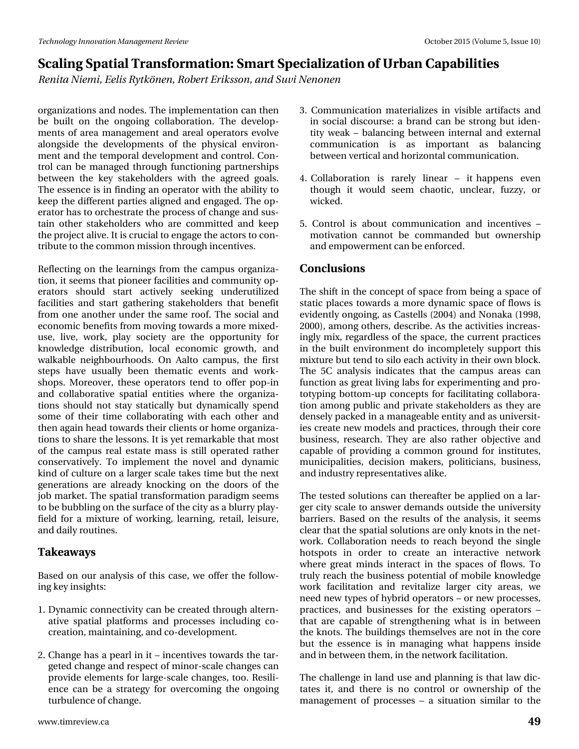*Renita Niemi, Eelis Rytkönen, Robert Eriksson, and Suvi Nenonen*

organizations and nodes. The implementation can then be built on the ongoing collaboration. The developments of area management and areal operators evolve alongside the developments of the physical environment and the temporal development and control. Control can be managed through functioning partnerships between the key stakeholders with the agreed goals. The essence is in finding an operator with the ability to keep the different parties aligned and engaged. The operator has to orchestrate the process of change and sustain other stakeholders who are committed and keep the project alive. It is crucial to engage the actors to contribute to the common mission through incentives.

Reflecting on the learnings from the campus organization, it seems that pioneer facilities and community operators should start actively seeking underutilized facilities and start gathering stakeholders that benefit from one another under the same roof. The social and economic benefits from moving towards a more mixeduse, live, work, play society are the opportunity for knowledge distribution, local economic growth, and walkable neighbourhoods. On Aalto campus, the first steps have usually been thematic events and workshops. Moreover, these operators tend to offer pop-in and collaborative spatial entities where the organizations should not stay statically but dynamically spend some of their time collaborating with each other and then again head towards their clients or home organizations to share the lessons. It is yet remarkable that most of the campus real estate mass is still operated rather conservatively. To implement the novel and dynamic kind of culture on a larger scale takes time but the next generations are already knocking on the doors of the job market. The spatial transformation paradigm seems to be bubbling on the surface of the city as a blurry playfield for a mixture of working, learning, retail, leisure, and daily routines.

### **Takeaways**

Based on our analysis of this case, we offer the following key insights:

- 1. Dynamic connectivity can be created through alternative spatial platforms and processes including cocreation, maintaining, and co-development.
- 2. Change has a pearl in it incentives towards the targeted change and respect of minor-scale changes can provide elements for large-scale changes, too. Resilience can be a strategy for overcoming the ongoing turbulence of change.
- 3. Communication materializes in visible artifacts and in social discourse: a brand can be strong but identity weak – balancing between internal and external communication is as important as balancing between vertical and horizontal communication.
- 4. Collaboration is rarely linear it happens even though it would seem chaotic, unclear, fuzzy, or wicked.
- 5. Control is about communication and incentives motivation cannot be commanded but ownership and empowerment can be enforced.

### **Conclusions**

The shift in the concept of space from being a space of static places towards a more dynamic space of flows is evidently ongoing, as Castells (2004) and Nonaka (1998, 2000), among others, describe. As the activities increasingly mix, regardless of the space, the current practices in the built environment do incompletely support this mixture but tend to silo each activity in their own block. The 5C analysis indicates that the campus areas can function as great living labs for experimenting and prototyping bottom-up concepts for facilitating collaboration among public and private stakeholders as they are densely packed in a manageable entity and as universities create new models and practices, through their core business, research. They are also rather objective and capable of providing a common ground for institutes, municipalities, decision makers, politicians, business, and industry representatives alike.

The tested solutions can thereafter be applied on a larger city scale to answer demands outside the university barriers. Based on the results of the analysis, it seems clear that the spatial solutions are only knots in the network. Collaboration needs to reach beyond the single hotspots in order to create an interactive network where great minds interact in the spaces of flows. To truly reach the business potential of mobile knowledge work facilitation and revitalize larger city areas, we need new types of hybrid operators – or new processes, practices, and businesses for the existing operators – that are capable of strengthening what is in between the knots. The buildings themselves are not in the core but the essence is in managing what happens inside and in between them, in the network facilitation.

The challenge in land use and planning is that law dictates it, and there is no control or ownership of the management of processes – a situation similar to the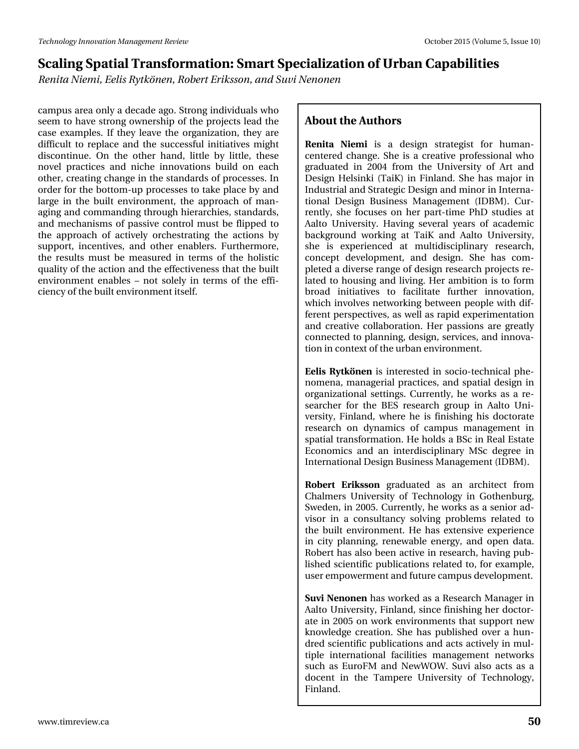*Renita Niemi, Eelis Rytkönen, Robert Eriksson, and Suvi Nenonen*

campus area only a decade ago. Strong individuals who seem to have strong ownership of the projects lead the case examples. If they leave the organization, they are difficult to replace and the successful initiatives might discontinue. On the other hand, little by little, these novel practices and niche innovations build on each other, creating change in the standards of processes. In order for the bottom-up processes to take place by and large in the built environment, the approach of managing and commanding through hierarchies, standards, and mechanisms of passive control must be flipped to the approach of actively orchestrating the actions by support, incentives, and other enablers. Furthermore, the results must be measured in terms of the holistic quality of the action and the effectiveness that the built environment enables – not solely in terms of the efficiency of the built environment itself.

### **About the Authors**

**Renita Niemi** is a design strategist for humancentered change. She is a creative professional who graduated in 2004 from the University of Art and Design Helsinki (TaiK) in Finland. She has major in Industrial and Strategic Design and minor in International Design Business Management (IDBM). Currently, she focuses on her part-time PhD studies at Aalto University. Having several years of academic background working at TaiK and Aalto University, she is experienced at multidisciplinary research, concept development, and design. She has completed a diverse range of design research projects related to housing and living. Her ambition is to form broad initiatives to facilitate further innovation, which involves networking between people with different perspectives, as well as rapid experimentation and creative collaboration. Her passions are greatly connected to planning, design, services, and innovation in context of the urban environment.

**Eelis Rytkönen** is interested in socio-technical phenomena, managerial practices, and spatial design in organizational settings. Currently, he works as a researcher for the BES research group in Aalto University, Finland, where he is finishing his doctorate research on dynamics of campus management in spatial transformation. He holds a BSc in Real Estate Economics and an interdisciplinary MSc degree in International Design Business Management (IDBM).

**Robert Eriksson** graduated as an architect from Chalmers University of Technology in Gothenburg, Sweden, in 2005. Currently, he works as a senior advisor in a consultancy solving problems related to the built environment. He has extensive experience in city planning, renewable energy, and open data. Robert has also been active in research, having published scientific publications related to, for example, user empowerment and future campus development.

**Suvi Nenonen** has worked as a Research Manager in Aalto University, Finland, since finishing her doctorate in 2005 on work environments that support new knowledge creation. She has published over a hundred scientific publications and acts actively in multiple international facilities management networks such as EuroFM and NewWOW. Suvi also acts as a docent in the Tampere University of Technology, Finland.